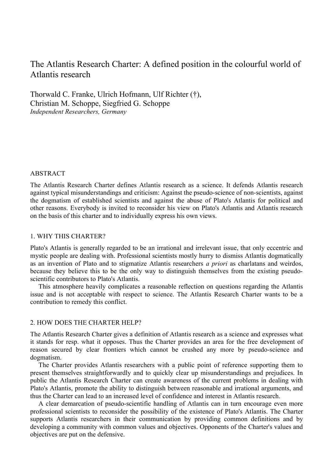# The Atlantis Research Charter: A defined position in the colourful world of Atlantis research

Thorwald C. Franke, Ulrich Hofmann, Ulf Richter (†), Christian M. Schoppe, Siegfried G. Schoppe *Independent Researchers, Germany*

### ABSTRACT

The Atlantis Research Charter defines Atlantis research as a science. It defends Atlantis research against typical misunderstandings and criticism: Against the pseudo-science of non-scientists, against the dogmatism of established scientists and against the abuse of Plato's Atlantis for political and other reasons. Everybody is invited to reconsider his view on Plato's Atlantis and Atlantis research on the basis of this charter and to individually express his own views.

# 1. WHY THIS CHARTER?

Plato's Atlantis is generally regarded to be an irrational and irrelevant issue, that only eccentric and mystic people are dealing with. Professional scientists mostly hurry to dismiss Atlantis dogmatically as an invention of Plato and to stigmatize Atlantis researchers *a priori* as charlatans and weirdos, because they believe this to be the only way to distinguish themselves from the existing pseudoscientific contributors to Plato's Atlantis.

This atmosphere heavily complicates a reasonable reflection on questions regarding the Atlantis issue and is not acceptable with respect to science. The Atlantis Research Charter wants to be a contribution to remedy this conflict.

# 2. HOW DOES THE CHARTER HELP?

The Atlantis Research Charter gives a definition of Atlantis research as a science and expresses what it stands for resp. what it opposes. Thus the Charter provides an area for the free development of reason secured by clear frontiers which cannot be crushed any more by pseudo-science and dogmatism.

The Charter provides Atlantis researchers with a public point of reference supporting them to present themselves straightforwardly and to quickly clear up misunderstandings and prejudices. In public the Atlantis Research Charter can create awareness of the current problems in dealing with Plato's Atlantis, promote the ability to distinguish between reasonable and irrational arguments, and thus the Charter can lead to an increased level of confidence and interest in Atlantis research.

A clear demarcation of pseudo-scientific handling of Atlantis can in turn encourage even more professional scientists to reconsider the possibility of the existence of Plato's Atlantis. The Charter supports Atlantis researchers in their communication by providing common definitions and by developing a community with common values and objectives. Opponents of the Charter's values and objectives are put on the defensive.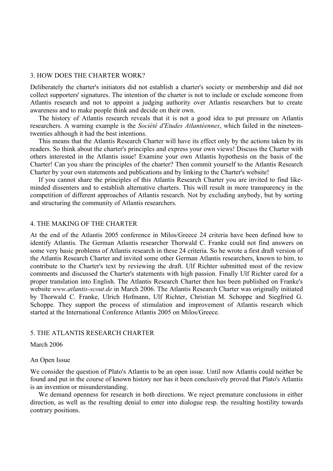### 3. HOW DOES THE CHARTER WORK?

Deliberately the charter's initiators did not establish a charter's society or membership and did not collect supporters' signatures. The intention of the charter is not to include or exclude someone from Atlantis research and not to appoint a judging authority over Atlantis researchers but to create awareness and to make people think and decide on their own.

The history of Atlantis research reveals that it is not a good idea to put pressure on Atlantis researchers. A warning example is the *Société d'Etudes Atlantéennes*, which failed in the nineteentwenties although it had the best intentions.

This means that the Atlantis Research Charter will have its effect only by the actions taken by its readers. So think about the charter's principles and express your own views! Discuss the Charter with others interested in the Atlantis issue! Examine your own Atlantis hypothesis on the basis of the Charter! Can you share the principles of the charter? Then commit yourself to the Atlantis Research Charter by your own statements and publications and by linking to the Charter's website!

If you cannot share the principles of this Atlantis Research Charter you are invited to find likeminded dissenters and to establish alternative charters. This will result in more transparency in the competition of different approaches of Atlantis research. Not by excluding anybody, but by sorting and structuring the community of Atlantis researchers.

# 4. THE MAKING OF THE CHARTER

At the end of the Atlantis 2005 conference in Milos/Greece 24 criteria have been defined how to identify Atlantis. The German Atlantis researcher Thorwald C. Franke could not find answers on some very basic problems of Atlantis research in these 24 criteria. So he wrote a first draft version of the Atlantis Research Charter and invited some other German Atlantis researchers, known to him, to contribute to the Charter's text by reviewing the draft. Ulf Richter submitted most of the review comments and discussed the Charter's statements with high passion. Finally Ulf Richter cared for a proper translation into English. The Atlantis Research Charter then has been published on Franke's website *www.atlantis-scout.de* in March 2006. The Atlantis Research Charter was originally initiated by Thorwald C. Franke, Ulrich Hofmann, Ulf Richter, Christian M. Schoppe and Siegfried G. Schoppe. They support the process of stimulation and improvement of Atlantis research which started at the International Conference Atlantis 2005 on Milos/Greece.

# 5. THE ATLANTIS RESEARCH CHARTER

# March 2006

### An Open Issue

We consider the question of Plato's Atlantis to be an open issue. Until now Atlantis could neither be found and put in the course of known history nor has it been conclusively proved that Plato's Atlantis is an invention or misunderstanding.

We demand openness for research in both directions. We reject premature conclusions in either direction, as well as the resulting denial to enter into dialogue resp. the resulting hostility towards contrary positions.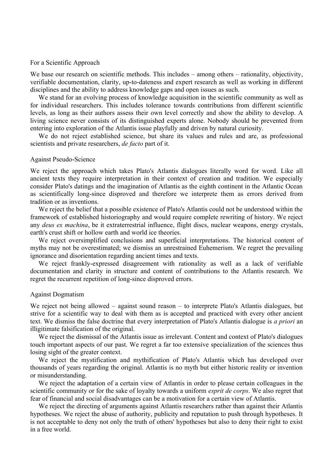#### For a Scientific Approach

We base our research on scientific methods. This includes – among others – rationality, objectivity, verifiable documentation, clarity, up-to-dateness and expert research as well as working in different disciplines and the ability to address knowledge gaps and open issues as such.

We stand for an evolving process of knowledge acquisition in the scientific community as well as for individual researchers. This includes tolerance towards contributions from different scientific levels, as long as their authors assess their own level correctly and show the ability to develop. A living science never consists of its distinguished experts alone. Nobody should be prevented from entering into exploration of the Atlantis issue playfully and driven by natural curiosity.

We do not reject established science, but share its values and rules and are, as professional scientists and private researchers, *de facto* part of it.

# Against Pseudo-Science

We reject the approach which takes Plato's Atlantis dialogues literally word for word. Like all ancient texts they require interpretation in their context of creation and tradition. We especially consider Plato's datings and the imagination of Atlantis as the eighth continent in the Atlantic Ocean as scientifically long-since disproved and therefore we interprete them as errors derived from tradition or as inventions.

We reject the belief that a possible existence of Plato's Atlantis could not be understood within the framework of established historiography and would require complete rewriting of history. We reject any *deus ex machina*, be it extraterrestrial influence, flight discs, nuclear weapons, energy crystals, earth's crust shift or hollow earth and world ice theories.

We reject oversimplified conclusions and superficial interpretations. The historical content of myths may not be overestimated; we dismiss an unrestrained Euhemerism. We regret the prevailing ignorance and disorientation regarding ancient times and texts.

We reject frankly-expressed disagreement with rationality as well as a lack of verifiable documentation and clarity in structure and content of contributions to the Atlantis research. We regret the recurrent repetition of long-since disproved errors.

#### Against Dogmatism

We reject not being allowed – against sound reason – to interprete Plato's Atlantis dialogues, but strive for a scientific way to deal with them as is accepted and practiced with every other ancient text. We dismiss the false doctrine that every interpretation of Plato's Atlantis dialogue is *a priori* an illigitimate falsification of the original.

We reject the dismissal of the Atlantis issue as irrelevant. Content and context of Plato's dialogues touch important aspects of our past. We regret a far too extensive specialization of the sciences thus losing sight of the greater context.

We reject the mystification and mythification of Plato's Atlantis which has developed over thousands of years regarding the original. Atlantis is no myth but either historic reality or invention or misunderstanding.

We reject the adaptation of a certain view of Atlantis in order to please certain colleagues in the scientific community or for the sake of loyalty towards a uniform *esprit de corps*. We also regret that fear of financial and social disadvantages can be a motivation for a certain view of Atlantis.

We reject the directing of arguments against Atlantis researchers rather than against their Atlantis hypotheses. We reject the abuse of authority, publicity and reputation to push through hypotheses. It is not acceptable to deny not only the truth of others' hypotheses but also to deny their right to exist in a free world.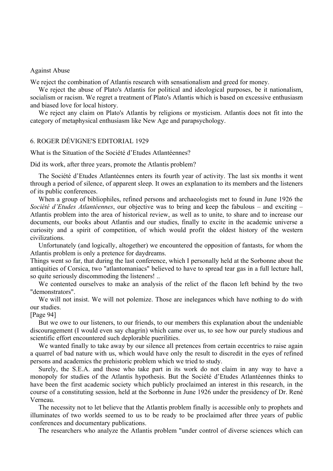#### Against Abuse

We reject the combination of Atlantis research with sensationalism and greed for money.

We reject the abuse of Plato's Atlantis for political and ideological purposes, be it nationalism, socialism or racism. We regret a treatment of Plato's Atlantis which is based on excessive enthusiasm and biased love for local history.

We reject any claim on Plato's Atlantis by religions or mysticism. Atlantis does not fit into the category of metaphysical enthusiasm like New Age and parapsychology.

# 6. ROGER DÉVIGNE'S EDITORIAL 1929

What is the Situation of the Société d'Etudes Atlantéennes?

Did its work, after three years, promote the Atlantis problem?

The Société d'Etudes Atlantéennes enters its fourth year of activity. The last six months it went through a period of silence, of apparent sleep. It owes an explanation to its members and the listeners of its public conferences.

When a group of bibliophiles, refined persons and archaeologists met to found in June 1926 the *Société d'Etudes Atlantéennes*, our objective was to bring and keep the fabulous – and exciting – Atlantis problem into the area of historical review, as well as to unite, to share and to increase our documents, our books about Atlantis and our studies, finally to excite in the academic universe a curiosity and a spirit of competition, of which would profit the oldest history of the western civilizations.

Unfortunately (and logically, altogether) we encountered the opposition of fantasts, for whom the Atlantis problem is only a pretence for daydreams.

Things went so far, that during the last conference, which I personally held at the Sorbonne about the antiquities of Corsica, two "atlantomaniacs" believed to have to spread tear gas in a full lecture hall, so quite seriously discommoding the listeners! ..

We contented ourselves to make an analysis of the relict of the flacon left behind by the two "demonstrators".

We will not insist. We will not polemize. Those are inelegances which have nothing to do with our studies.

[Page 94]

But we owe to our listeners, to our friends, to our members this explanation about the undeniable discouragement (I would even say chagrin) which came over us, to see how our purely studious and scientific effort encountered such deplorable puerilities.

We wanted finally to take away by our silence all pretences from certain eccentrics to raise again a quarrel of bad nature with us, which would have only the result to discredit in the eyes of refined persons and academics the prehistoric problem which we tried to study.

Surely, the S.E.A. and those who take part in its work do not claim in any way to have a monopoly for studies of the Atlantis hypothesis. But the Société d'Etudes Atlantéennes thinks to have been the first academic society which publicly proclaimed an interest in this research, in the course of a constituting session, held at the Sorbonne in June 1926 under the presidency of Dr. René Verneau.

The necessity not to let believe that the Atlantis problem finally is accessible only to prophets and illuminates of two worlds seemed to us to be ready to be proclaimed after three years of public conferences and documentary publications.

The researchers who analyze the Atlantis problem "under control of diverse sciences which can